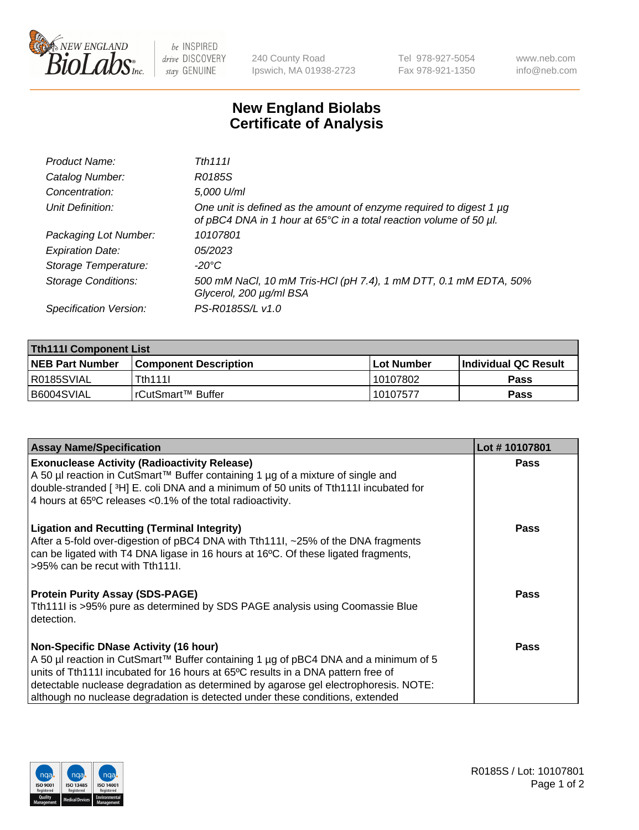

 $be$  INSPIRED drive DISCOVERY stay GENUINE

240 County Road Ipswich, MA 01938-2723 Tel 978-927-5054 Fax 978-921-1350 www.neb.com info@neb.com

## **New England Biolabs Certificate of Analysis**

| Product Name:              | Tth 1111                                                                                                                                  |
|----------------------------|-------------------------------------------------------------------------------------------------------------------------------------------|
| Catalog Number:            | R0185S                                                                                                                                    |
| Concentration:             | 5,000 U/ml                                                                                                                                |
| Unit Definition:           | One unit is defined as the amount of enzyme required to digest 1 µg<br>of pBC4 DNA in 1 hour at 65°C in a total reaction volume of 50 µl. |
| Packaging Lot Number:      | 10107801                                                                                                                                  |
| <b>Expiration Date:</b>    | 05/2023                                                                                                                                   |
| Storage Temperature:       | -20°C                                                                                                                                     |
| <b>Storage Conditions:</b> | 500 mM NaCl, 10 mM Tris-HCl (pH 7.4), 1 mM DTT, 0.1 mM EDTA, 50%<br>Glycerol, 200 µg/ml BSA                                               |
| Specification Version:     | PS-R0185S/L v1.0                                                                                                                          |

| <b>Tth111I Component List</b> |                              |                   |                             |  |  |
|-------------------------------|------------------------------|-------------------|-----------------------------|--|--|
| <b>NEB Part Number</b>        | <b>Component Description</b> | <b>Lot Number</b> | <b>Individual QC Result</b> |  |  |
| I R0185SVIAL                  | <b>Tth1111</b>               | 10107802          | <b>Pass</b>                 |  |  |
| B6004SVIAL                    | l rCutSmart™ Buffer_         | 10107577          | Pass                        |  |  |

| <b>Assay Name/Specification</b>                                                                                                                                                                                                                                                                                                                                                                 | Lot #10107801 |
|-------------------------------------------------------------------------------------------------------------------------------------------------------------------------------------------------------------------------------------------------------------------------------------------------------------------------------------------------------------------------------------------------|---------------|
| <b>Exonuclease Activity (Radioactivity Release)</b><br>A 50 µl reaction in CutSmart™ Buffer containing 1 µg of a mixture of single and<br>double-stranded [3H] E. coli DNA and a minimum of 50 units of Tth111I incubated for<br>4 hours at 65°C releases < 0.1% of the total radioactivity.                                                                                                    | <b>Pass</b>   |
| <b>Ligation and Recutting (Terminal Integrity)</b><br>After a 5-fold over-digestion of pBC4 DNA with Tth1111, ~25% of the DNA fragments<br>can be ligated with T4 DNA ligase in 16 hours at 16°C. Of these ligated fragments,<br>>95% can be recut with Tth111.                                                                                                                                 | <b>Pass</b>   |
| <b>Protein Purity Assay (SDS-PAGE)</b><br>Tth111I is >95% pure as determined by SDS PAGE analysis using Coomassie Blue<br>detection.                                                                                                                                                                                                                                                            | <b>Pass</b>   |
| <b>Non-Specific DNase Activity (16 hour)</b><br>A 50 µl reaction in CutSmart™ Buffer containing 1 µg of pBC4 DNA and a minimum of 5<br>units of Tth1111 incubated for 16 hours at 65°C results in a DNA pattern free of<br>detectable nuclease degradation as determined by agarose gel electrophoresis. NOTE:<br>although no nuclease degradation is detected under these conditions, extended | Pass          |